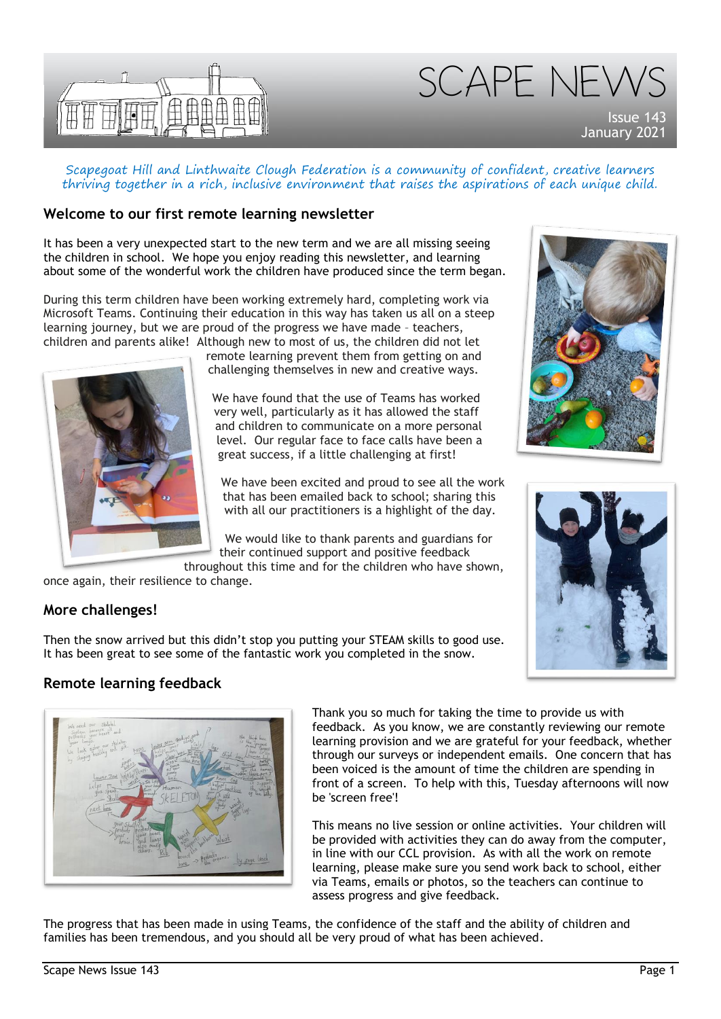

SCAPE NEW

Issue 143 January 202

Scapegoat Hill and Linthwaite Clough Federation is a community of confident, creative learners thriving together in a rich, inclusive environment that raises the aspirations of each unique child.

## **Welcome to our first remote learning newsletter**

It has been a very unexpected start to the new term and we are all missing seeing the children in school. We hope you enjoy reading this newsletter, and learning about some of the wonderful work the children have produced since the term began.

During this term children have been working extremely hard, completing work via Microsoft Teams. Continuing their education in this way has taken us all on a steep learning journey, but we are proud of the progress we have made – teachers, children and parents alike! Although new to most of us, the children did not let

> remote learning prevent them from getting on and challenging themselves in new and creative ways.

We have found that the use of Teams has worked very well, particularly as it has allowed the staff and children to communicate on a more personal level. Our regular face to face calls have been a great success, if a little challenging at first!

We have been excited and proud to see all the work that has been emailed back to school; sharing this with all our practitioners is a highlight of the day.

We would like to thank parents and guardians for their continued support and positive feedback

throughout this time and for the children who have shown, once again, their resilience to change.



# **More challenges!**

Then the snow arrived but this didn't stop you putting your STEAM skills to good use. It has been great to see some of the fantastic work you completed in the snow.

# **Remote learning feedback**



Thank you so much for taking the time to provide us with feedback. As you know, we are constantly reviewing our remote learning provision and we are grateful for your feedback, whether through our surveys or independent emails. One concern that has been voiced is the amount of time the children are spending in front of a screen. To help with this, Tuesday afternoons will now be 'screen free'!

This means no live session or online activities. Your children will be provided with activities they can do away from the computer, in line with our CCL provision. As with all the work on remote learning, please make sure you send work back to school, either via Teams, emails or photos, so the teachers can continue to assess progress and give feedback.

The progress that has been made in using Teams, the confidence of the staff and the ability of children and families has been tremendous, and you should all be very proud of what has been achieved.